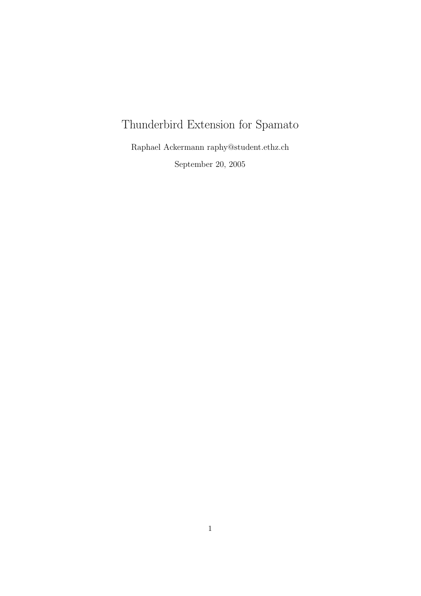# Thunderbird Extension for Spamato

Raphael Ackermann raphy@student.ethz.ch September 20, 2005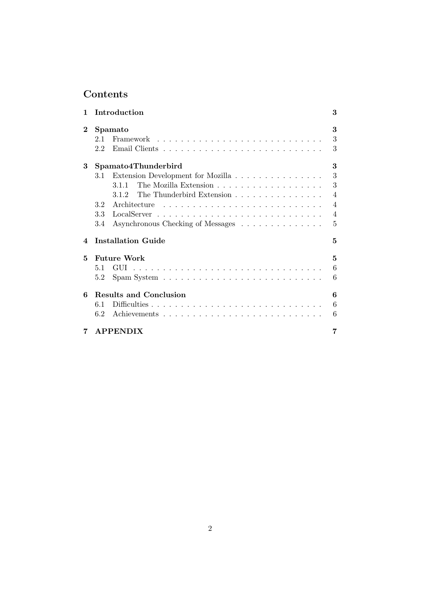## Contents

| 1                      | Introduction                                                                                                                                                      | 3                                                 |
|------------------------|-------------------------------------------------------------------------------------------------------------------------------------------------------------------|---------------------------------------------------|
| $\bf{2}$               | Spamato<br>2.1<br>2.2                                                                                                                                             | 3<br>3<br>3                                       |
| 3                      | Spamato4Thunderbird                                                                                                                                               | 3                                                 |
|                        | Extension Development for Mozilla<br>3.1<br>3.1.1<br>The Thunderbird Extension<br>3.1.2<br>Architecture<br>3.2<br>3.3<br>3.4<br>Asynchronous Checking of Messages | 3<br>3<br>4<br>$\overline{\mathcal{A}}$<br>4<br>5 |
| $\boldsymbol{\Lambda}$ | <b>Installation Guide</b>                                                                                                                                         | 5                                                 |
| 5                      | <b>Future Work</b><br>5.1<br>$Span System \ldots \ldots \ldots \ldots \ldots \ldots \ldots \ldots$<br>5.2                                                         | 5<br>6<br>6                                       |
| 6                      | Results and Conclusion<br>6.1<br>6.2                                                                                                                              | 6<br>6<br>6                                       |
| 7                      | <b>APPENDIX</b>                                                                                                                                                   | 7                                                 |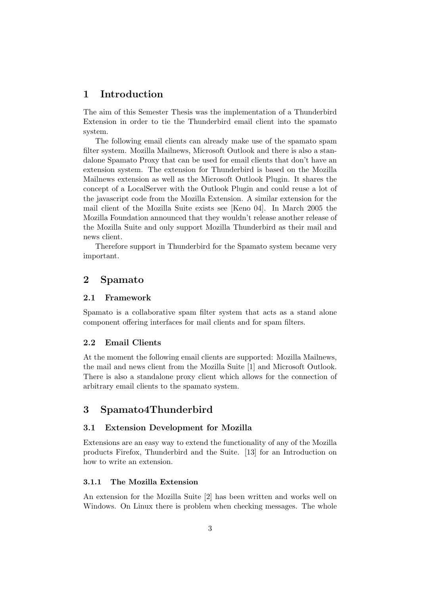## 1 Introduction

The aim of this Semester Thesis was the implementation of a Thunderbird Extension in order to tie the Thunderbird email client into the spamato system.

The following email clients can already make use of the spamato spam filter system. Mozilla Mailnews, Microsoft Outlook and there is also a standalone Spamato Proxy that can be used for email clients that don't have an extension system. The extension for Thunderbird is based on the Mozilla Mailnews extension as well as the Microsoft Outlook Plugin. It shares the concept of a LocalServer with the Outlook Plugin and could reuse a lot of the javascript code from the Mozilla Extension. A similar extension for the mail client of the Mozilla Suite exists see [Keno 04]. In March 2005 the Mozilla Foundation announced that they wouldn't release another release of the Mozilla Suite and only support Mozilla Thunderbird as their mail and news client.

Therefore support in Thunderbird for the Spamato system became very important.

## 2 Spamato

#### 2.1 Framework

Spamato is a collaborative spam filter system that acts as a stand alone component offering interfaces for mail clients and for spam filters.

#### 2.2 Email Clients

At the moment the following email clients are supported: Mozilla Mailnews, the mail and news client from the Mozilla Suite [1] and Microsoft Outlook. There is also a standalone proxy client which allows for the connection of arbitrary email clients to the spamato system.

### 3 Spamato4Thunderbird

#### 3.1 Extension Development for Mozilla

Extensions are an easy way to extend the functionality of any of the Mozilla products Firefox, Thunderbird and the Suite. [13] for an Introduction on how to write an extension.

#### 3.1.1 The Mozilla Extension

An extension for the Mozilla Suite [2] has been written and works well on Windows. On Linux there is problem when checking messages. The whole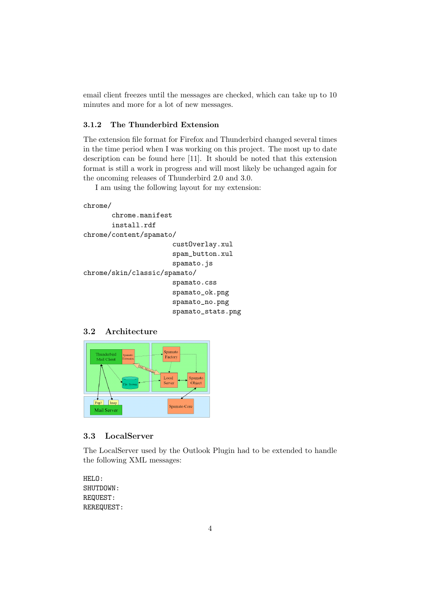email client freezes until the messages are checked, which can take up to 10 minutes and more for a lot of new messages.

#### 3.1.2 The Thunderbird Extension

The extension file format for Firefox and Thunderbird changed several times in the time period when I was working on this project. The most up to date description can be found here [11]. It should be noted that this extension format is still a work in progress and will most likely be uchanged again for the oncoming releases of Thunderbird 2.0 and 3.0.

I am using the following layout for my extension:

```
chrome/
```

```
chrome.manifest
       install.rdf
chrome/content/spamato/
                       custOverlay.xul
                       spam_button.xul
                       spamato.js
chrome/skin/classic/spamato/
                       spamato.css
                       spamato_ok.png
                       spamato_no.png
                       spamato_stats.png
```
#### 3.2 Architecture



#### 3.3 LocalServer

The LocalServer used by the Outlook Plugin had to be extended to handle the following XML messages:

```
HELO:
SHUTDOWN:
REQUEST:
REREQUEST:
```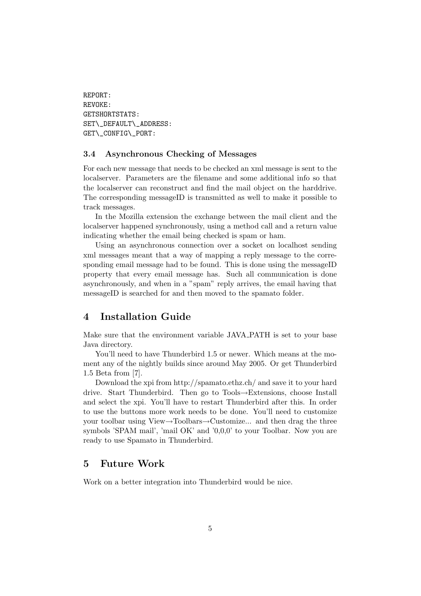REPORT: REVOKE: GETSHORTSTATS: SET\\_DEFAULT\\_ADDRESS: GET\\_CONFIG\\_PORT:

#### 3.4 Asynchronous Checking of Messages

For each new message that needs to be checked an xml message is sent to the localserver. Parameters are the filename and some additional info so that the localserver can reconstruct and find the mail object on the harddrive. The corresponding messageID is transmitted as well to make it possible to track messages.

In the Mozilla extension the exchange between the mail client and the localserver happened synchronously, using a method call and a return value indicating whether the email being checked is spam or ham.

Using an asynchronous connection over a socket on localhost sending xml messages meant that a way of mapping a reply message to the corresponding email message had to be found. This is done using the messageID property that every email message has. Such all communication is done asynchronously, and when in a "spam" reply arrives, the email having that messageID is searched for and then moved to the spamato folder.

## 4 Installation Guide

Make sure that the environment variable JAVA PATH is set to your base Java directory.

You'll need to have Thunderbird 1.5 or newer. Which means at the moment any of the nightly builds since around May 2005. Or get Thunderbird 1.5 Beta from [7].

Download the xpi from http://spamato.ethz.ch/ and save it to your hard drive. Start Thunderbird. Then go to Tools→Extensions, choose Install and select the xpi. You'll have to restart Thunderbird after this. In order to use the buttons more work needs to be done. You'll need to customize your toolbar using View→Toolbars→Customize... and then drag the three symbols 'SPAM mail', 'mail OK' and '0,0,0' to your Toolbar. Now you are ready to use Spamato in Thunderbird.

## 5 Future Work

Work on a better integration into Thunderbird would be nice.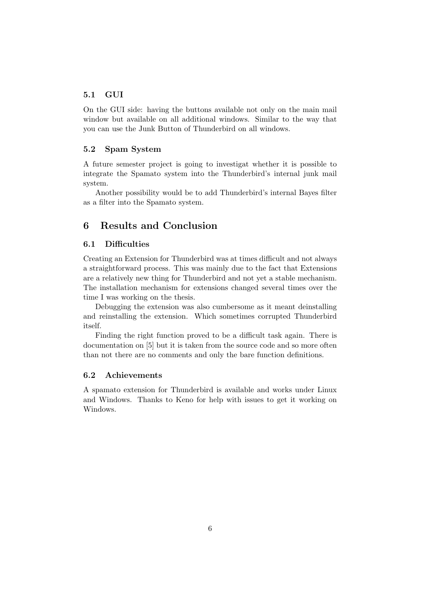#### 5.1 GUI

On the GUI side: having the buttons available not only on the main mail window but available on all additional windows. Similar to the way that you can use the Junk Button of Thunderbird on all windows.

#### 5.2 Spam System

A future semester project is going to investigat whether it is possible to integrate the Spamato system into the Thunderbird's internal junk mail system.

Another possibility would be to add Thunderbird's internal Bayes filter as a filter into the Spamato system.

## 6 Results and Conclusion

#### 6.1 Difficulties

Creating an Extension for Thunderbird was at times difficult and not always a straightforward process. This was mainly due to the fact that Extensions are a relatively new thing for Thunderbird and not yet a stable mechanism. The installation mechanism for extensions changed several times over the time I was working on the thesis.

Debugging the extension was also cumbersome as it meant deinstalling and reinstalling the extension. Which sometimes corrupted Thunderbird itself.

Finding the right function proved to be a difficult task again. There is documentation on [5] but it is taken from the source code and so more often than not there are no comments and only the bare function definitions.

#### 6.2 Achievements

A spamato extension for Thunderbird is available and works under Linux and Windows. Thanks to Keno for help with issues to get it working on Windows.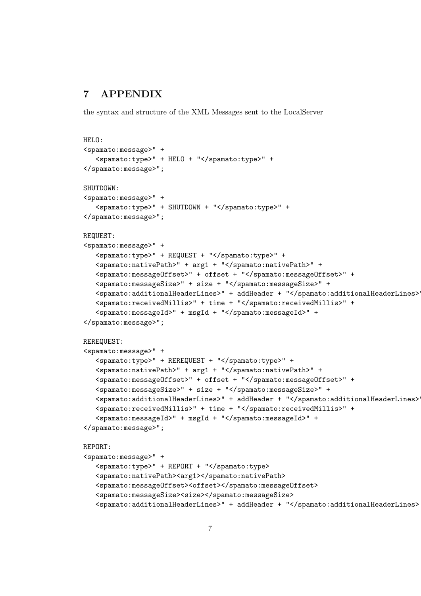## 7 APPENDIX

the syntax and structure of the XML Messages sent to the LocalServer

```
HELO:
<spamato:message>" +
   <spamato:type>" + HELO + "</spamato:type>" +
</spamato:message>";
SHUTDOWN:
<spamato:message>" +
   <spamato:type>" + SHUTDOWN + "</spamato:type>" +
</spamato:message>";
REQUEST:
<spamato:message>" +
   <spamato:type>" + REQUEST + "</spamato:type>" +
   <spamato:nativePath>" + arg1 + "</spamato:nativePath>" +
   <spamato:messageOffset>" + offset + "</spamato:messageOffset>" +
   <spamato:messageSize>" + size + "</spamato:messageSize>" +
   <spamato:additionalHeaderLines>" + addHeader + "</spamato:additionalHeaderLines>" +
   <spamato:receivedMillis>" + time + "</spamato:receivedMillis>" +
   <spamato:messageId>" + msgId + "</spamato:messageId>" +
</spamato:message>";
REREQUEST:
<spamato:message>" +
   <spamato:type>" + REREQUEST + "</spamato:type>" +
   <spamato:nativePath>" + arg1 + "</spamato:nativePath>" +
   <spamato:messageOffset>" + offset + "</spamato:messageOffset>" +
   <spamato:messageSize>" + size + "</spamato:messageSize>" +
   <spamato:additionalHeaderLines>" + addHeader + "</spamato:additionalHeaderLines>" +
   <spamato:receivedMillis>" + time + "</spamato:receivedMillis>" +
   <spamato:messageId>" + msgId + "</spamato:messageId>" +
</spamato:message>";
REPORT:
<spamato:message>" +
   <spamato:type>" + REPORT + "</spamato:type>
   <spamato:nativePath><arg1></spamato:nativePath>
   <spamato:messageOffset><offset></spamato:messageOffset>
   <spamato:messageSize><size></spamato:messageSize>
   <spamato:additionalHeaderLines>" + addHeader + "</spamato:additionalHeaderLines>
```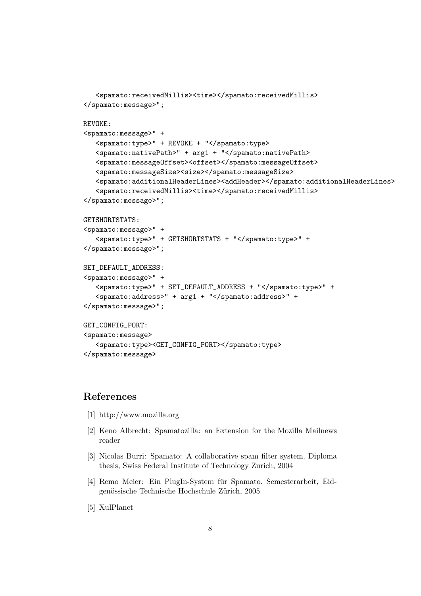```
<spamato:receivedMillis><time></spamato:receivedMillis>
</spamato:message>";
REVOKE:
<spamato:message>" +
   <spamato:type>" + REVOKE + "</spamato:type>
   <spamato:nativePath>" + arg1 + "</spamato:nativePath>
   <spamato:messageOffset><offset></spamato:messageOffset>
   <spamato:messageSize><size></spamato:messageSize>
   <spamato:additionalHeaderLines><addHeader></spamato:additionalHeaderLines>
   <spamato:receivedMillis><time></spamato:receivedMillis>
</spamato:message>";
GETSHORTSTATS:
<spamato:message>" +
   <spamato:type>" + GETSHORTSTATS + "</spamato:type>" +
</spamato:message>";
SET_DEFAULT_ADDRESS:
<spamato:message>" +
   <spamato:type>" + SET_DEFAULT_ADDRESS + "</spamato:type>" +
   <spamato:address>" + arg1 + "</spamato:address>" +
</spamato:message>";
GET_CONFIG_PORT:
<spamato:message>
   <spamato:type><GET_CONFIG_PORT></spamato:type>
</spamato:message>
```
## References

- [1] http://www.mozilla.org
- [2] Keno Albrecht: Spamatozilla: an Extension for the Mozilla Mailnews reader
- [3] Nicolas Burri: Spamato: A collaborative spam filter system. Diploma thesis, Swiss Federal Institute of Technology Zurich, 2004
- [4] Remo Meier: Ein PlugIn-System für Spamato. Semesterarbeit, Eidgenössische Technische Hochschule Zürich, 2005
- [5] XulPlanet